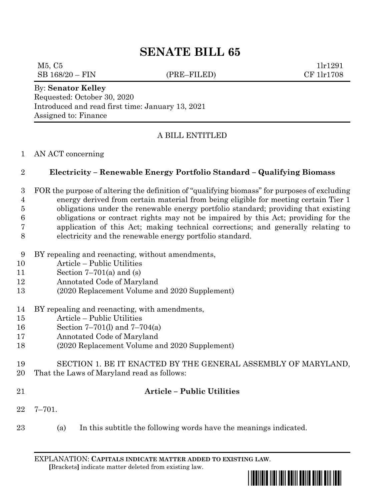# **SENATE BILL 65**

#### $M5, C5$  1lr1291 SB 168/20 – FIN (PRE–FILED) CF 1lr1708

### By: **Senator Kelley**

Requested: October 30, 2020 Introduced and read first time: January 13, 2021 Assigned to: Finance

## A BILL ENTITLED

#### AN ACT concerning

### **Electricity – Renewable Energy Portfolio Standard – Qualifying Biomass**

- FOR the purpose of altering the definition of "qualifying biomass" for purposes of excluding energy derived from certain material from being eligible for meeting certain Tier 1 obligations under the renewable energy portfolio standard; providing that existing obligations or contract rights may not be impaired by this Act; providing for the application of this Act; making technical corrections; and generally relating to electricity and the renewable energy portfolio standard.
- BY repealing and reenacting, without amendments,
- Article Public Utilities
- Section 7–701(a) and (s)
- Annotated Code of Maryland
- (2020 Replacement Volume and 2020 Supplement)
- BY repealing and reenacting, with amendments,
- Article Public Utilities
- Section 7–701(l) and 7–704(a)
- Annotated Code of Maryland
- (2020 Replacement Volume and 2020 Supplement)
- SECTION 1. BE IT ENACTED BY THE GENERAL ASSEMBLY OF MARYLAND,
- That the Laws of Maryland read as follows:
- 

## **Article – Public Utilities**

- 7–701.
- (a) In this subtitle the following words have the meanings indicated.

EXPLANATION: **CAPITALS INDICATE MATTER ADDED TO EXISTING LAW**.  **[**Brackets**]** indicate matter deleted from existing law.

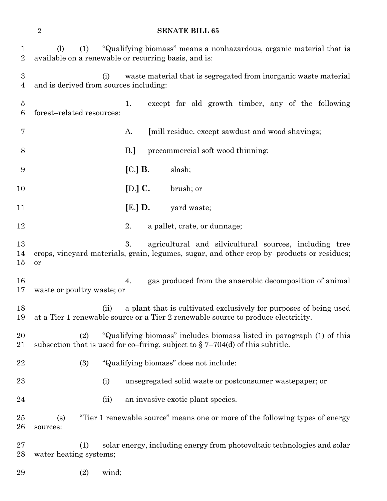#### **SENATE BILL 65**

| 1<br>$\overline{2}$                | (1)<br>(1)                                    | "Qualifying biomass" means a nonhazardous, organic material that is<br>available on a renewable or recurring basis, and is:                                |
|------------------------------------|-----------------------------------------------|------------------------------------------------------------------------------------------------------------------------------------------------------------|
| $\boldsymbol{3}$<br>$\overline{4}$ | (i)<br>and is derived from sources including: | waste material that is segregated from inorganic waste material                                                                                            |
| $\overline{5}$<br>6                | forest-related resources:                     | except for old growth timber, any of the following<br>1.                                                                                                   |
| 7                                  |                                               | A.<br>[mill residue, except sawdust and wood shavings;                                                                                                     |
| 8                                  |                                               | B.<br>precommercial soft wood thinning;                                                                                                                    |
| 9                                  |                                               | $[C]$ B.<br>slash;                                                                                                                                         |
| 10                                 |                                               | [D.] $C$ .<br>brush; or                                                                                                                                    |
| 11                                 |                                               | $[E.]$ D.<br>yard waste;                                                                                                                                   |
| 12                                 |                                               | 2.<br>a pallet, crate, or dunnage;                                                                                                                         |
| 13<br>14<br>15                     | or                                            | 3.<br>agricultural and silvicultural sources, including tree<br>crops, vineyard materials, grain, legumes, sugar, and other crop by-products or residues;  |
| 16<br>17                           | waste or poultry waste; or                    | gas produced from the anaerobic decomposition of animal<br>4.                                                                                              |
| 18<br>19                           | (ii)                                          | a plant that is cultivated exclusively for purposes of being used<br>at a Tier 1 renewable source or a Tier 2 renewable source to produce electricity.     |
| 20<br>21                           | (2)                                           | "Qualifying biomass" includes biomass listed in paragraph (1) of this<br>subsection that is used for co-firing, subject to $\S 7-704(d)$ of this subtitle. |
| 22                                 | (3)                                           | "Qualifying biomass" does not include:                                                                                                                     |
| 23                                 | (i)                                           | unsegregated solid waste or postconsumer wastepaper; or                                                                                                    |
| 24                                 | (ii)                                          | an invasive exotic plant species.                                                                                                                          |
| 25<br>26                           | (s)<br>sources:                               | "Tier 1 renewable source" means one or more of the following types of energy                                                                               |
| 27<br>28                           | (1)<br>water heating systems;                 | solar energy, including energy from photovoltaic technologies and solar                                                                                    |
| 29                                 | wind;<br>(2)                                  |                                                                                                                                                            |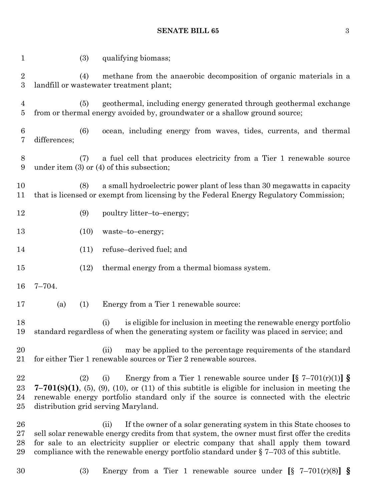#### **SENATE BILL 65** 3

|              | (3) | qualifying biomass;                                                                                                                                                                                                                                                                                                                                              |
|--------------|-----|------------------------------------------------------------------------------------------------------------------------------------------------------------------------------------------------------------------------------------------------------------------------------------------------------------------------------------------------------------------|
|              |     | methane from the anaerobic decomposition of organic materials in a<br>landfill or wastewater treatment plant;                                                                                                                                                                                                                                                    |
|              |     | geothermal, including energy generated through geothermal exchange<br>from or thermal energy avoided by, groundwater or a shallow ground source;                                                                                                                                                                                                                 |
| differences; |     | ocean, including energy from waves, tides, currents, and thermal                                                                                                                                                                                                                                                                                                 |
|              |     | a fuel cell that produces electricity from a Tier 1 renewable source                                                                                                                                                                                                                                                                                             |
|              |     | a small hydroelectric power plant of less than 30 megawatts in capacity<br>that is licensed or exempt from licensing by the Federal Energy Regulatory Commission;                                                                                                                                                                                                |
|              |     | poultry litter-to-energy;                                                                                                                                                                                                                                                                                                                                        |
|              |     | waste-to-energy;                                                                                                                                                                                                                                                                                                                                                 |
|              |     | refuse-derived fuel; and                                                                                                                                                                                                                                                                                                                                         |
|              |     | thermal energy from a thermal biomass system.                                                                                                                                                                                                                                                                                                                    |
| $7 - 704.$   |     |                                                                                                                                                                                                                                                                                                                                                                  |
| (a)          |     | Energy from a Tier 1 renewable source:                                                                                                                                                                                                                                                                                                                           |
|              |     | is eligible for inclusion in meeting the renewable energy portfolio<br>(i)<br>standard regardless of when the generating system or facility was placed in service; and                                                                                                                                                                                           |
|              |     | may be applied to the percentage requirements of the standard<br>(ii)<br>for either Tier 1 renewable sources or Tier 2 renewable sources.                                                                                                                                                                                                                        |
|              |     | Energy from a Tier 1 renewable source under $[\S 7-701(r)(1)]$ $\S$<br>(i)<br>$7-701(s)(1)$ , (5), (9), (10), or (11) of this subtitle is eligible for inclusion in meeting the<br>renewable energy portfolio standard only if the source is connected with the electric                                                                                         |
|              |     | If the owner of a solar generating system in this State chooses to<br>(ii)<br>sell solar renewable energy credits from that system, the owner must first offer the credits<br>for sale to an electricity supplier or electric company that shall apply them toward<br>compliance with the renewable energy portfolio standard under $\S 7-703$ of this subtitle. |
|              |     | (4)<br>(5)<br>(6)<br>(7)<br>under item $(3)$ or $(4)$ of this subsection;<br>(8)<br>(9)<br>(10)<br>(11)<br>(12)<br>(1)<br>(2)<br>distribution grid serving Maryland.                                                                                                                                                                                             |

(3) Energy from a Tier 1 renewable source under **[**§ 7–701(r)(8)**] §**